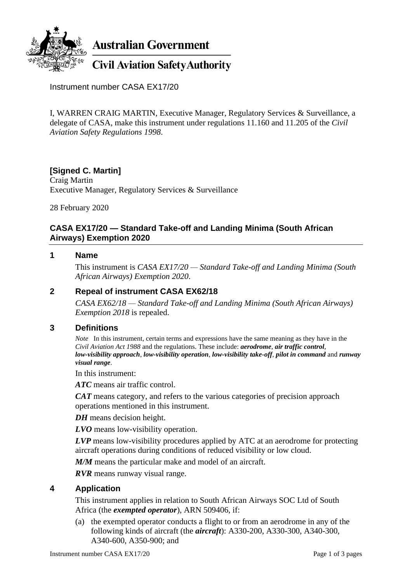

# **Australian Government**

## **Civil Aviation Safety Authority**

Instrument number CASA EX17/20

I, WARREN CRAIG MARTIN, Executive Manager, Regulatory Services & Surveillance, a delegate of CASA, make this instrument under regulations 11.160 and 11.205 of the *Civil Aviation Safety Regulations 1998*.

## **[Signed C. Martin]**

Craig Martin Executive Manager, Regulatory Services & Surveillance

28 February 2020

#### **CASA EX17/20 — Standard Take-off and Landing Minima (South African Airways) Exemption 2020**

### **1 Name**

This instrument is *CASA EX17/20 — Standard Take-off and Landing Minima (South African Airways) Exemption 2020*.

## **2 Repeal of instrument CASA EX62/18**

*CASA EX62/18 — Standard Take-off and Landing Minima (South African Airways) Exemption 2018* is repealed.

#### **3 Definitions**

*Note* In this instrument, certain terms and expressions have the same meaning as they have in the *Civil Aviation Act 1988* and the regulations. These include: *aerodrome*, *air traffic control*, *low-visibility approach*, *low-visibility operation*, *low-visibility take-off*, *pilot in command* and *runway visual range*.

In this instrument:

*ATC* means air traffic control.

*CAT* means category, and refers to the various categories of precision approach operations mentioned in this instrument.

*DH* means decision height.

*LVO* means low-visibility operation.

*LVP* means low-visibility procedures applied by ATC at an aerodrome for protecting aircraft operations during conditions of reduced visibility or low cloud.

*M/M* means the particular make and model of an aircraft.

*RVR* means runway visual range.

#### **4 Application**

This instrument applies in relation to South African Airways SOC Ltd of South Africa (the *exempted operator*), ARN 509406, if:

(a) the exempted operator conducts a flight to or from an aerodrome in any of the following kinds of aircraft (the *aircraft*): A330-200, A330-300, A340-300, A340-600, A350-900; and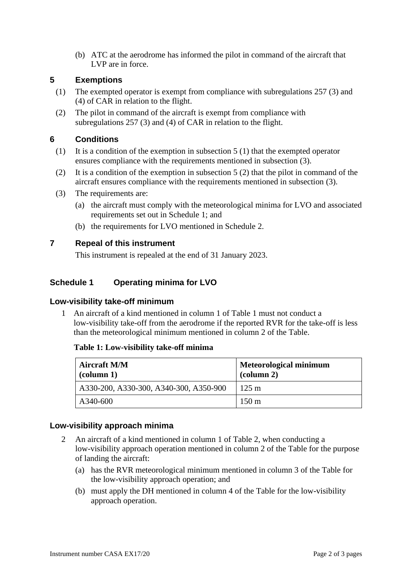(b) ATC at the aerodrome has informed the pilot in command of the aircraft that LVP are in force.

### **5 Exemptions**

- (1) The exempted operator is exempt from compliance with subregulations 257 (3) and (4) of CAR in relation to the flight.
- (2) The pilot in command of the aircraft is exempt from compliance with subregulations 257 (3) and (4) of CAR in relation to the flight.

#### **6 Conditions**

- (1) It is a condition of the exemption in subsection 5 (1) that the exempted operator ensures compliance with the requirements mentioned in subsection (3).
- (2) It is a condition of the exemption in subsection 5 (2) that the pilot in command of the aircraft ensures compliance with the requirements mentioned in subsection (3).
- (3) The requirements are:
	- (a) the aircraft must comply with the meteorological minima for LVO and associated requirements set out in Schedule 1; and
	- (b) the requirements for LVO mentioned in Schedule 2.

## **7 Repeal of this instrument**

This instrument is repealed at the end of 31 January 2023.

## **Schedule 1 Operating minima for LVO**

#### **Low-visibility take-off minimum**

1 An aircraft of a kind mentioned in column 1 of Table 1 must not conduct a low-visibility take-off from the aerodrome if the reported RVR for the take-off is less than the meteorological minimum mentioned in column 2 of the Table.

#### **Table 1: Low-visibility take-off minima**

| <b>Aircraft M/M</b><br>$\alpha$ (column 1) | <b>Meteorological minimum</b><br>$\alpha$ (column 2) |
|--------------------------------------------|------------------------------------------------------|
| A330-200, A330-300, A340-300, A350-900     | $125 \text{ m}$                                      |
| A340-600                                   | $150 \text{ m}$                                      |

#### **Low-visibility approach minima**

- 2 An aircraft of a kind mentioned in column 1 of Table 2, when conducting a low-visibility approach operation mentioned in column 2 of the Table for the purpose of landing the aircraft:
	- (a) has the RVR meteorological minimum mentioned in column 3 of the Table for the low-visibility approach operation; and
	- (b) must apply the DH mentioned in column 4 of the Table for the low-visibility approach operation.